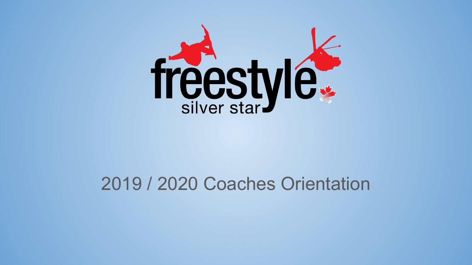

#### 2019 / 2020 Coaches Orientation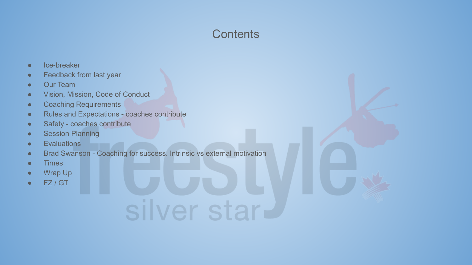#### **Contents**

- Ice-breaker
- Feedback from last year
- Our Team
- Vision, Mission, Code of Conduct
- **•** Coaching Requirements
- Rules and Expectations coaches contribute
- Safety coaches contribute
- **•** Session Planning
- **•** Evaluations
- Brad Swanson Coaching for success. Intrinsic vs external motivation
- Times
- Wrap Up
- FZ / GT

# silver star-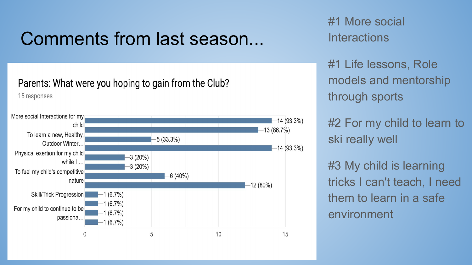### Comments from last season...

#### Parents: What were you hoping to gain from the Club?

15 responses



#1 More social **Interactions** 

#1 Life lessons, Role models and mentorship through sports

#2 For my child to learn to ski really well

#3 My child is learning tricks I can't teach, I need them to learn in a safe environment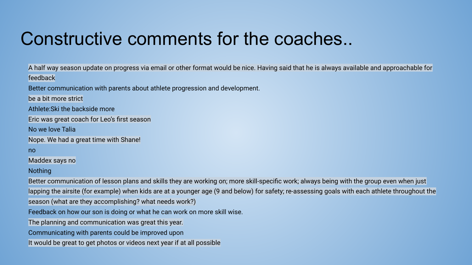#### Constructive comments for the coaches..

A half way season update on progress via email or other format would be nice. Having said that he is always available and approachable for feedback

Better communication with parents about athlete progression and development.

be a bit more strict

Athlete:Ski the backside more

Eric was great coach for Leo's first season

No we love Talia

Nope. We had a great time with Shane!

no

Maddex says no

Nothing

Better communication of lesson plans and skills they are working on; more skill-specific work; always being with the group even when just lapping the airsite (for example) when kids are at a younger age (9 and below) for safety; re-assessing goals with each athlete throughout the

season (what are they accomplishing? what needs work?)

Feedback on how our son is doing or what he can work on more skill wise.

The planning and communication was great this year.

Communicating with parents could be improved upon

It would be great to get photos or videos next year if at all possible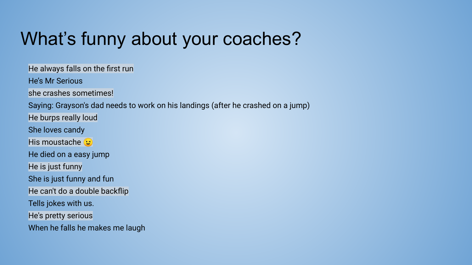## What's funny about your coaches?

He always falls on the first run He's Mr Serious she crashes sometimes! Saying: Grayson's dad needs to work on his landings (after he crashed on a jump) He burps really loud She loves candy His moustache **G** He died on a easy jump He is just funny She is just funny and fun He can't do a double backflip Tells jokes with us. He's pretty serious When he falls he makes me laugh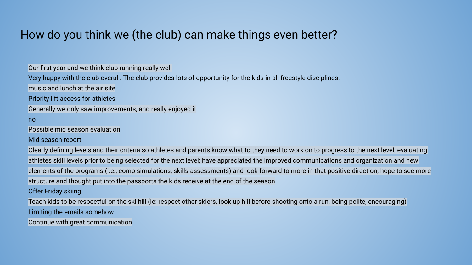#### How do you think we (the club) can make things even better?

Our first year and we think club running really well

Very happy with the club overall. The club provides lots of opportunity for the kids in all freestyle disciplines.

music and lunch at the air site

Priority lift access for athletes

Generally we only saw improvements, and really enjoyed it

no

Possible mid season evaluation

Mid season report

Clearly defining levels and their criteria so athletes and parents know what to they need to work on to progress to the next level; evaluating athletes skill levels prior to being selected for the next level; have appreciated the improved communications and organization and new elements of the programs (i.e., comp simulations, skills assessments) and look forward to more in that positive direction; hope to see more structure and thought put into the passports the kids receive at the end of the season Offer Friday skiing

Teach kids to be respectful on the ski hill (ie: respect other skiers, look up hill before shooting onto a run, being polite, encouraging) Limiting the emails somehow

Continue with great communication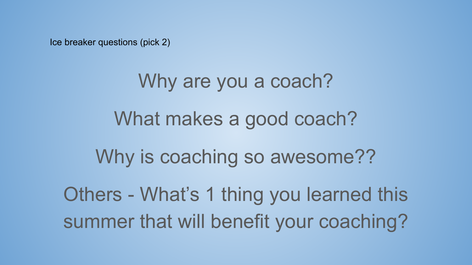Ice breaker questions (pick 2)

Why are you a coach? What makes a good coach? Why is coaching so awesome?? Others - What's 1 thing you learned this summer that will benefit your coaching?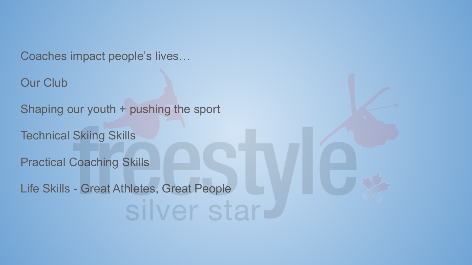Coaches impact people's lives…

Our Club

Shaping our youth + pushing the sport

Technical Skiing Skills

Practical Coaching Skills

Life Skills - Great Athletes, Great Peoplesilver star-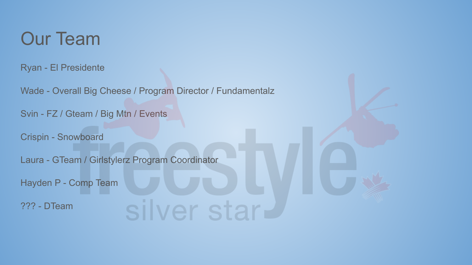#### Our Team

Ryan - El Presidente

Wade - Overall Big Cheese / Program Director / Fundamentalz

silver star-

Svin - FZ / Gteam / Big Mtn / Events

Crispin - Snowboard

Laura - GTeam / Girlstylerz Program Coordinator

Hayden P - Comp Team

??? - DTeam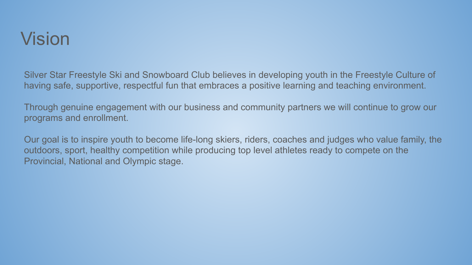#### Vision

Silver Star Freestyle Ski and Snowboard Club believes in developing youth in the Freestyle Culture of having safe, supportive, respectful fun that embraces a positive learning and teaching environment.

Through genuine engagement with our business and community partners we will continue to grow our programs and enrollment.

Our goal is to inspire youth to become life-long skiers, riders, coaches and judges who value family, the outdoors, sport, healthy competition while producing top level athletes ready to compete on the Provincial, National and Olympic stage.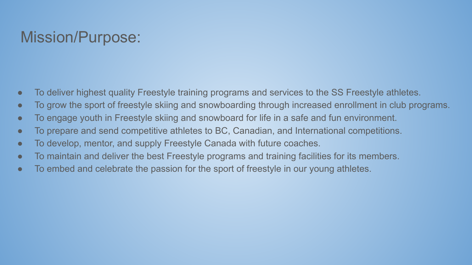#### Mission/Purpose:

- To deliver highest quality Freestyle training programs and services to the SS Freestyle athletes.
- To grow the sport of freestyle skiing and snowboarding through increased enrollment in club programs.
- To engage youth in Freestyle skiing and snowboard for life in a safe and fun environment.
- To prepare and send competitive athletes to BC, Canadian, and International competitions.
- To develop, mentor, and supply Freestyle Canada with future coaches.
- To maintain and deliver the best Freestyle programs and training facilities for its members.
- To embed and celebrate the passion for the sport of freestyle in our young athletes.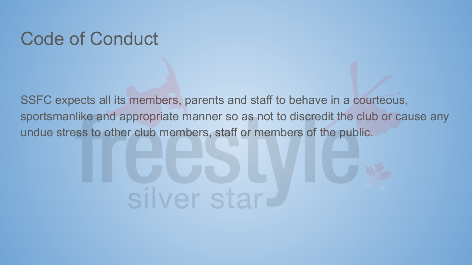#### Code of Conduct

SSFC expects all its members, parents and staff to behave in a courteous, sportsmanlike and appropriate manner so as not to discredit the club or cause any undue stress to other club members, staff or members of the public.

# silver star-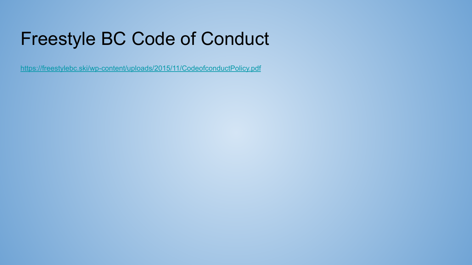## Freestyle BC Code of Conduct

<https://freestylebc.ski/wp-content/uploads/2015/11/CodeofconductPolicy.pdf>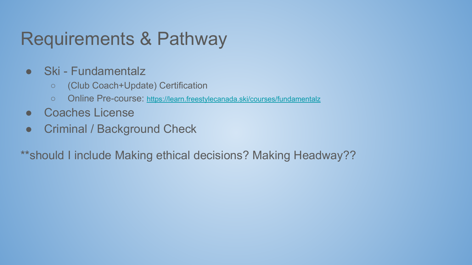## Requirements & Pathway

- Ski Fundamentalz
	- (Club Coach+Update) Certification
	- Online Pre-course: <https://learn.freestylecanada.ski/courses/fundamentalz>
- Coaches License
- Criminal / Background Check

\*\*should I include Making ethical decisions? Making Headway??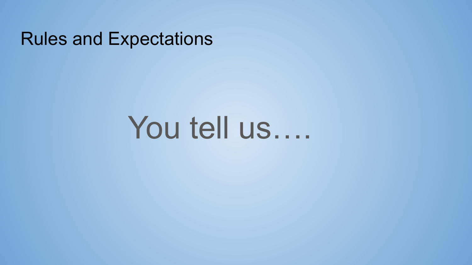#### Rules and Expectations

# You tell us….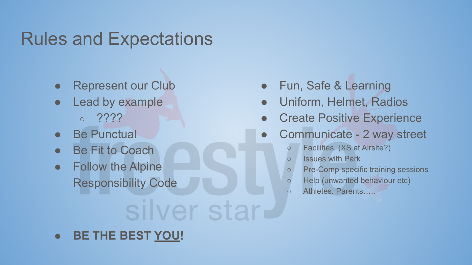#### Rules and Expectations

- **Represent our Club**
- Lead by example  $\circ$  ????
- **Be Punctual**
- **Be Fit to Coach**
- **Follow the Alpine** Responsibility Code

# silver star

**● BE THE BEST YOU!**

- Fun, Safe & Learning
- Uniform, Helmet, Radios
- **Create Positive Experience**
- Communicate 2 way street
	- Facilities. (XS at Airsite?)
	- Issues with Park
	- Pre-Comp specific training sessions
	- Help (unwanted behaviour etc)
		- Athletes. Parents…...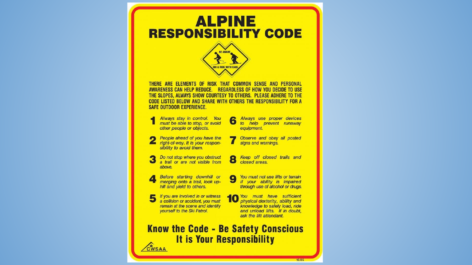#### **ALPINE RESPONSIBILITY CODE**



THERE ARE ELEMENTS OF RISK THAT COMMON SENSE AND PERSONAL AWARENESS CAN HELP REDUCE. REGARDLESS OF HOW YOU DECIDE TO USE THE SLOPES, ALWAYS SHOW COURTESY TO OTHERS. PLEASE ADHERE TO THE **CODE LISTED BELOW AND SHARE WITH OTHERS THE RESPONSIBILITY FOR A SAFE OUTDOOR EXPERIENCE.** 

8

- Always stay in control. You must be able to stop, or avoid other people or objects.
- People ahead of you have the n right-of-way. It is your responsibility to avoid them.
- Do not stop where you obstruct a trail or are not visible from above
- Before starting downhill or merging onto a trail, look uphill and vield to others.
- If you are involved in or witness a collision or accident, you must remain at the scene and identify vourself to the Ski Patrol.

6 Always use proper devices<br>6 to help prevent runaway equipment.

Observe and obey all posted

Keep off closed trails and closed areas.

9 You must not use lifts or terrain if your ability is impaired through use of alcohol or drugs.

10 You must have sufficient physical dexterity, ability and knowledge to safely load, ride and unload lifts. If in doubt, ask the lift attendant.

**Know the Code - Be Safety Conscious** It is Your Responsibility CWSAA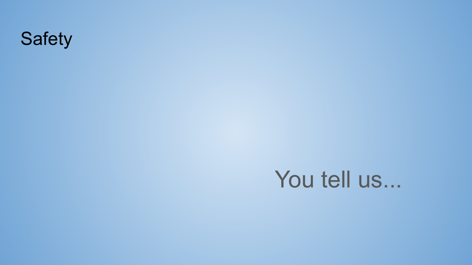

# You tell us...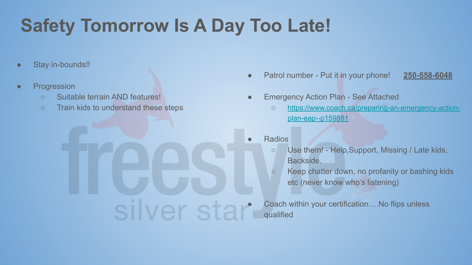# **Safety Tomorrow Is A Day Too Late!**

silver sta

- Stay in-bounds!!
- **Progression** 
	- Suitable terrain AND features!
	- Train kids to understand these steps
- Patrol number Put it in your phone! **250-558-6048**
- **Emergency Action Plan See Attached** 
	- [https://www.coach.ca/preparing-an-emergency-action](https://www.coach.ca/preparing-an-emergency-action-plan-eap--p159881)[plan-eap--p159881](https://www.coach.ca/preparing-an-emergency-action-plan-eap--p159881)
- Radios
	- Use them! Help,Support, Missing / Late kids, Backside.
	- Keep chatter down, no profanity or bashing kids etc (never know who's listening)
	- Coach within your certification....No flips unless qualified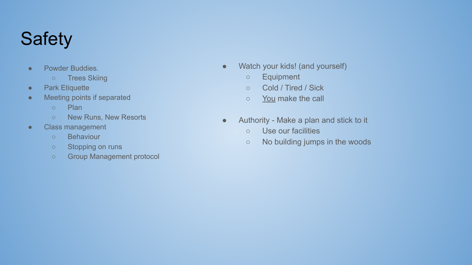## **Safety**

- Powder Buddies.
	- Trees Skiing
- Park Etiquette
- Meeting points if separated
	- Plan
	- New Runs, New Resorts
- Class management
	- Behaviour
	- Stopping on runs
	- Group Management protocol
- Watch your kids! (and yourself)
	- Equipment
	- Cold / Tired / Sick
	- You make the call
- Authority Make a plan and stick to it
	- Use our facilities
	- No building jumps in the woods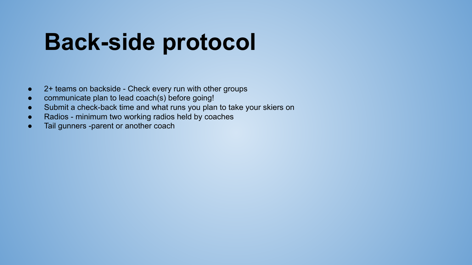# **Back-side protocol**

- 2+ teams on backside Check every run with other groups
- communicate plan to lead coach(s) before going!
- Submit a check-back time and what runs you plan to take your skiers on
- Radios minimum two working radios held by coaches
- Tail gunners -parent or another coach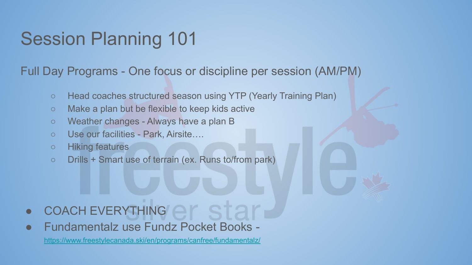#### Session Planning 101

Full Day Programs - One focus or discipline per session (AM/PM)

- Head coaches structured season using YTP (Yearly Training Plan)
- Make a plan but be flexible to keep kids active
- Weather changes Always have a plan B
- Use our facilities Park, Airsite….
- Hiking features
- Drills + Smart use of terrain (ex. Runs to/from park)

#### COACH EVERYTHING

● Fundamentalz use Fundz Pocket Books -

<https://www.freestylecanada.ski/en/programs/canfree/fundamentalz/>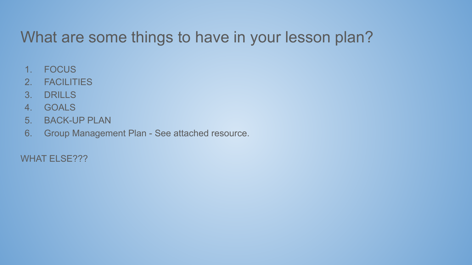#### What are some things to have in your lesson plan?

- 1. FOCUS
- 2. FACILITIES
- 3. DRILLS
- 4. GOALS
- 5. BACK-UP PLAN
- 6. Group Management Plan See attached resource.

WHAT ELSE???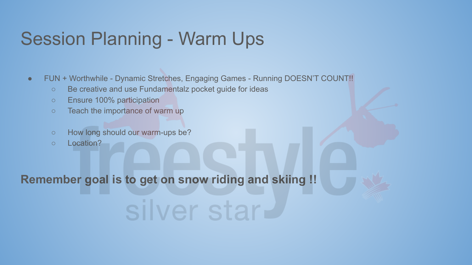#### Session Planning - Warm Ups

- FUN + Worthwhile Dynamic Stretches, Engaging Games Running DOESN'T COUNT!!
	- Be creative and use Fundamentalz pocket guide for ideas
	- Ensure 100% participation
	- Teach the importance of warm up
	- How long should our warm-ups be?
	- Location?

**Remember goal is to get on snow riding and skiing !!**

silver star-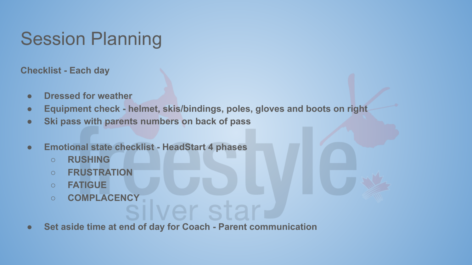#### Session Planning

**Checklist - Each day**

- **● Dressed for weather**
- **● Equipment check helmet, skis/bindings, poles, gloves and boots on right**

star

- **● Ski pass with parents numbers on back of pass**
- **● Emotional state checklist HeadStart 4 phases**
	- **○ RUSHING**
	- **○ FRUSTRATION**
	- **○ FATIGUE**
	- **○ COMPLACENCY**
- **● Set aside time at end of day for Coach Parent communication**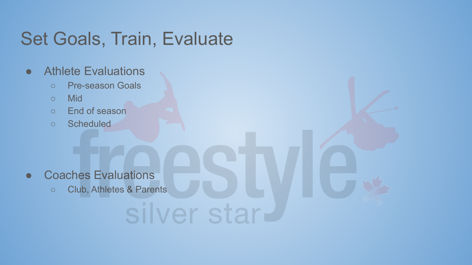#### Set Goals, Train, Evaluate

- Athlete Evaluations
	- Pre-season Goals
	- Mid
	- End of season
	- Scheduled

● Coaches Evaluations

○ Club, Athletes & Parents

silver star-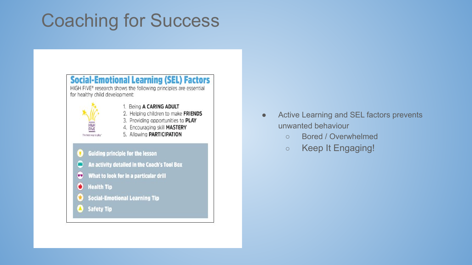#### Coaching for Success



- Active Learning and SEL factors prevents unwanted behaviour
	- Bored / Overwhelmed
	- Keep It Engaging!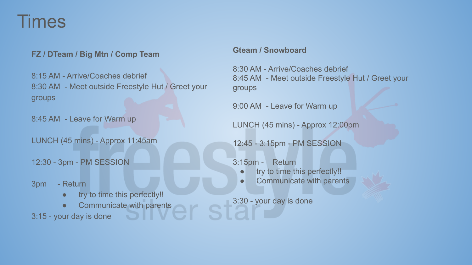#### Times

#### **FZ / DTeam / Big Mtn / Comp Team**

8:15 AM - Arrive/Coaches debrief 8:30 AM - Meet outside Freestyle Hut / Greet your groups

8:45 AM - Leave for Warm up

LUNCH (45 mins) - Approx 11:45am

12:30 - 3pm - PM SESSION

3pm - Return

- try to time this perfectly!!
- Communicate with parents

3:15 - your day is done

#### **Gteam / Snowboard**

8:30 AM - Arrive/Coaches debrief 8:45 AM - Meet outside Freestyle Hut / Greet your groups

9:00 AM - Leave for Warm up

LUNCH (45 mins) - Approx 12:00pm

12:45 - 3:15pm - PM SESSION

3:15pm - Return

- try to time this perfectly!!
- Communicate with parents

3:30 - your day is done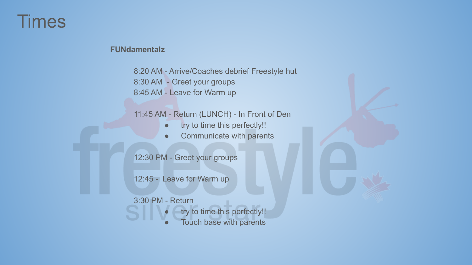#### Times

#### **FUNdamentalz**

8:20 AM - Arrive/Coaches debrief Freestyle hut 8:30 AM - Greet your groups 8:45 AM - Leave for Warm up

#### 11:45 AM - Return (LUNCH) - In Front of Den

- try to time this perfectly!!
- Communicate with parents

12:30 PM - Greet your groups

12:45 - Leave for Warm up

#### 3:30 PM - Return

- try to time this perfectly!!
- Touch base with parents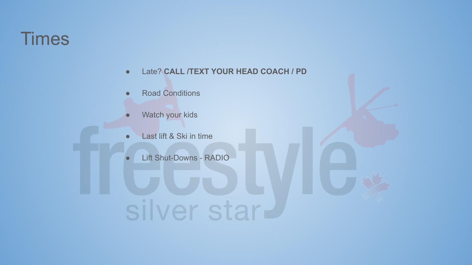#### **Times**

- **Late? CALL /TEXT YOUR HEAD COACH / PD**
- **●** Road Conditions
- Watch your kids
- Last lift & Ski in time
- **Lift Shut-Downs RADIO**

silver star-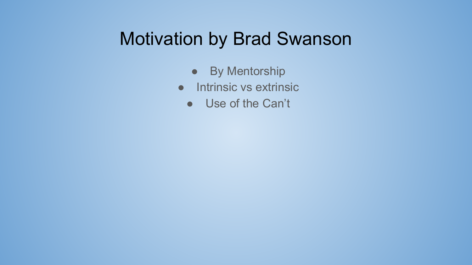#### Motivation by Brad Swanson

- By Mentorship
- Intrinsic vs extrinsic
	- Use of the Can't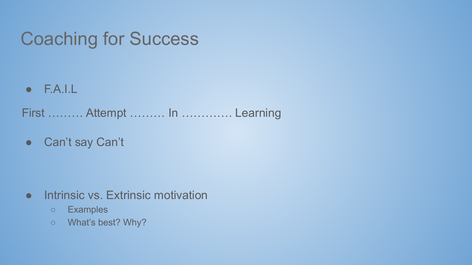#### Coaching for Success

 $\bullet$  F.A.I.L

First ……… Attempt ……… In …………. Learning

● Can't say Can't

- Intrinsic vs. Extrinsic motivation
	- Examples
	- What's best? Why?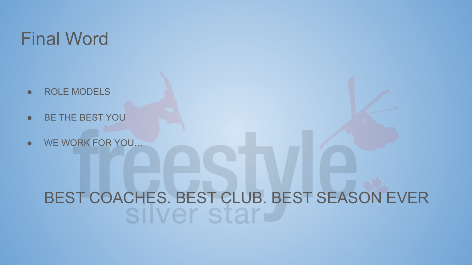#### Final Word

- ROLE MODELS
- BE THE BEST YOU
- WE WORK FOR YOU…

# BEST COACHES. BEST CLUB. BEST SEASON EVER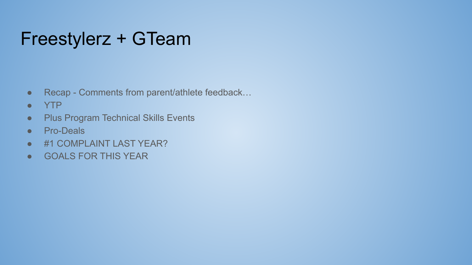#### Freestylerz + GTeam

- Recap Comments from parent/athlete feedback...
- YTP
- Plus Program Technical Skills Events
- Pro-Deals
- #1 COMPLAINT LAST YEAR?
- GOALS FOR THIS YEAR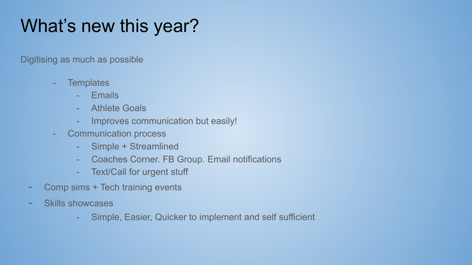## What's new this year?

Digitising as much as possible

- Templates
	- **Emails**
	- Athlete Goals
	- Improves communication but easily!
- Communication process
	- Simple + Streamlined
	- Coaches Corner. FB Group. Email notifications
	- Text/Call for urgent stuff
- Comp sims + Tech training events
- Skills showcases
	- Simple, Easier, Quicker to implement and self sufficient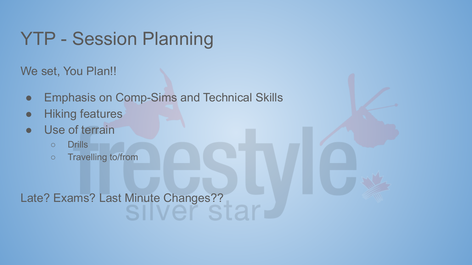## YTP - Session Planning

We set, You Plan!!

- Emphasis on Comp-Sims and Technical Skills
- **Hiking features**
- Use of terrain
	- Drills
	- Travelling to/from

Late? Exams? Last Minute Changes??SIIVEI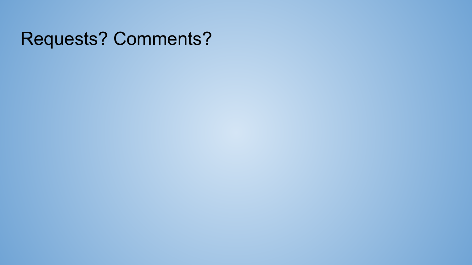#### Requests? Comments?